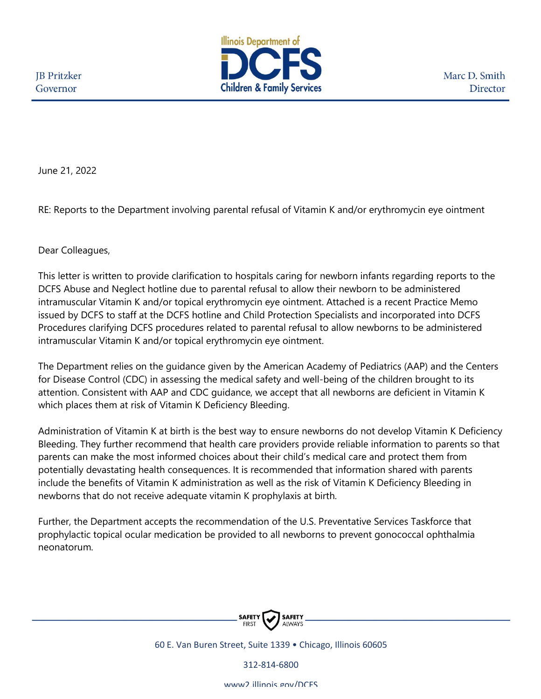

Marc D. Smith Director

June 21, 2022

RE: Reports to the Department involving parental refusal of Vitamin K and/or erythromycin eye ointment

Dear Colleagues,

This letter is written to provide clarification to hospitals caring for newborn infants regarding reports to the DCFS Abuse and Neglect hotline due to parental refusal to allow their newborn to be administered intramuscular Vitamin K and/or topical erythromycin eye ointment. Attached is a recent Practice Memo issued by DCFS to staff at the DCFS hotline and Child Protection Specialists and incorporated into DCFS Procedures clarifying DCFS procedures related to parental refusal to allow newborns to be administered intramuscular Vitamin K and/or topical erythromycin eye ointment.

The Department relies on the guidance given by the American Academy of Pediatrics (AAP) and the Centers for Disease Control (CDC) in assessing the medical safety and well-being of the children brought to its attention. Consistent with AAP and CDC guidance, we accept that all newborns are deficient in Vitamin K which places them at risk of Vitamin K Deficiency Bleeding.

Administration of Vitamin K at birth is the best way to ensure newborns do not develop Vitamin K Deficiency Bleeding. They further recommend that health care providers provide reliable information to parents so that parents can make the most informed choices about their child's medical care and protect them from potentially devastating health consequences. It is recommended that information shared with parents include the benefits of Vitamin K administration as well as the risk of Vitamin K Deficiency Bleeding in newborns that do not receive adequate vitamin K prophylaxis at birth.

Further, the Department accepts the recommendation of the U.S. Preventative Services Taskforce that prophylactic topical ocular medication be provided to all newborns to prevent gonococcal ophthalmia neonatorum.



60 E. Van Buren Street, Suite 1339 • Chicago, Illinois 60605

312-814-6800

www2.illinois.gov/DCFS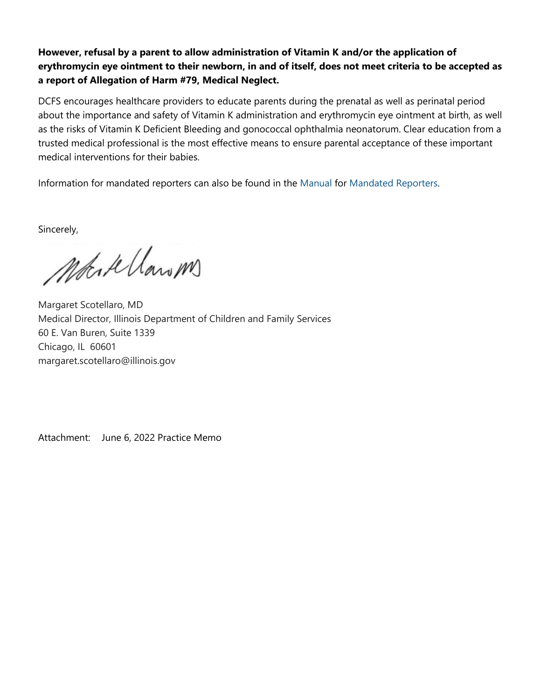## **However, refusal by a parent to allow administration of Vitamin K and/or the application of erythromycin eye ointment to their newborn, in and of itself, does not meet criteria to be accepted as a report of Allegation of Harm #79, Medical Neglect.**

DCFS encourages healthcare providers to educate parents during the prenatal as well as perinatal period about the importance and safety of Vitamin K administration and erythromycin eye ointment at birth, as well as the risks of Vitamin K Deficient Bleeding and gonococcal ophthalmia neonatorum. Clear education from a trusted medical professional is the most effective means to ensure parental acceptance of these important medical interventions for their babies.

Information for mandated reporters can also be found in the [Manual](https://www2.illinois.gov/dcfs/safekids/reporting/Documents/cfs_1050-21_mandated_reporter_manual.pdf) for [Mandated Reporters.](https://www2.illinois.gov/dcfs/safekids/reporting/Pages/index.aspx)

Sincerely,

Motork Clarom

Margaret Scotellaro, MD Medical Director, Illinois Department of Children and Family Services 60 E. Van Buren, Suite 1339 Chicago, IL 60601 margaret.scotellaro@illinois.gov

Attachment: June 6, 2022 Practice Memo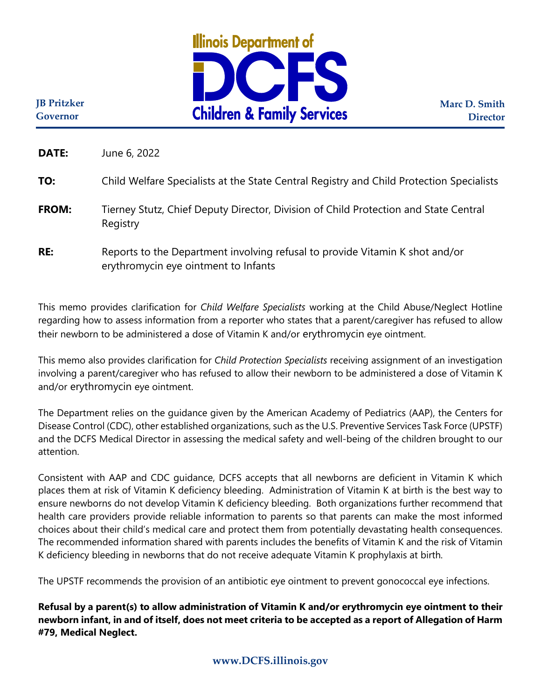

**Marc D. Smith Director**

**JB Pritzker Governor**

**DATE:** June 6, 2022

## **TO:** Child Welfare Specialists at the State Central Registry and Child Protection Specialists

- **FROM:** Tierney Stutz, Chief Deputy Director, Division of Child Protection and State Central Registry
- **RE:** Reports to the Department involving refusal to provide Vitamin K shot and/or erythromycin eye ointment to Infants

This memo provides clarification for *Child Welfare Specialists* working at the Child Abuse/Neglect Hotline regarding how to assess information from a reporter who states that a parent/caregiver has refused to allow their newborn to be administered a dose of Vitamin K and/or erythromycin eye ointment.

This memo also provides clarification for *Child Protection Specialists* receiving assignment of an investigation involving a parent/caregiver who has refused to allow their newborn to be administered a dose of Vitamin K and/or erythromycin eye ointment.

The Department relies on the guidance given by the American Academy of Pediatrics (AAP), the Centers for Disease Control (CDC), other established organizations, such as the U.S. Preventive Services Task Force (UPSTF) and the DCFS Medical Director in assessing the medical safety and well-being of the children brought to our attention.

Consistent with AAP and CDC guidance, DCFS accepts that all newborns are deficient in Vitamin K which places them at risk of Vitamin K deficiency bleeding. Administration of Vitamin K at birth is the best way to ensure newborns do not develop Vitamin K deficiency bleeding. Both organizations further recommend that health care providers provide reliable information to parents so that parents can make the most informed choices about their child's medical care and protect them from potentially devastating health consequences. The recommended information shared with parents includes the benefits of Vitamin K and the risk of Vitamin K deficiency bleeding in newborns that do not receive adequate Vitamin K prophylaxis at birth.

The UPSTF recommends the provision of an antibiotic eye ointment to prevent gonococcal eye infections.

**Refusal by a parent(s) to allow administration of Vitamin K and/or erythromycin eye ointment to their newborn infant, in and of itself, does not meet criteria to be accepted as a report of Allegation of Harm #79, Medical Neglect.**